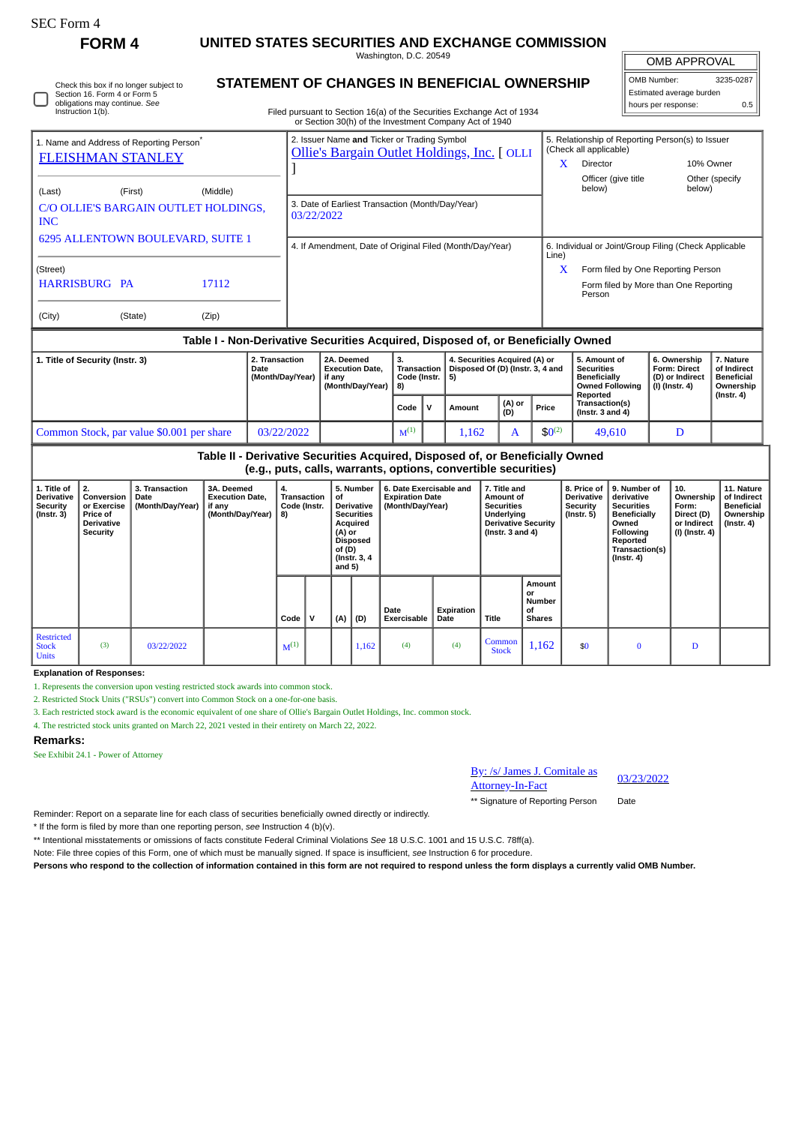<sup>1</sup>

obligations may continue. *See* Instruction 1(b).

## **FORM 4 UNITED STATES SECURITIES AND EXCHANGE COMMISSION**

Washington, D.C. 20549

**STATEMENT OF CHANGES IN BENEFICIAL OWNERSHIP**

 $\parallel$ OMB APPROVAL

| OMB Number:              | 3235-0287 |  |  |  |  |  |
|--------------------------|-----------|--|--|--|--|--|
| Estimated average burden |           |  |  |  |  |  |
| hours per response:      | 0.5       |  |  |  |  |  |

11

Filed pursuant to Section 16(a) of the Securities Exchange Act of 1934 Check this box if no longer subject to Section 16. Form 4 or Form 5

| or Section 30(h) of the Investment Company Act of 1940 |                                                                                             |                                                                            |  |  |  |  |  |  |  |  |
|--------------------------------------------------------|---------------------------------------------------------------------------------------------|----------------------------------------------------------------------------|--|--|--|--|--|--|--|--|
| 1. Name and Address of Reporting Person <sup>®</sup>   | 2. Issuer Name and Ticker or Trading Symbol<br>Ollie's Bargain Outlet Holdings, Inc. [ OLLI | 5. Relationship of Reporting Person(s) to Issuer<br>(Check all applicable) |  |  |  |  |  |  |  |  |
| <b>FLEISHMAN STANLEY</b>                               |                                                                                             | X<br><b>Director</b><br>10% Owner                                          |  |  |  |  |  |  |  |  |
| (Last)<br>(Middle)<br>(First)                          |                                                                                             | Officer (give title<br>Other (specify)<br>below)<br>below)                 |  |  |  |  |  |  |  |  |
| C/O OLLIE'S BARGAIN OUTLET HOLDINGS,<br><b>INC</b>     | 3. Date of Earliest Transaction (Month/Day/Year)<br>03/22/2022                              |                                                                            |  |  |  |  |  |  |  |  |
| 6295 ALLENTOWN BOULEVARD, SUITE 1                      | 4. If Amendment, Date of Original Filed (Month/Day/Year)                                    | 6. Individual or Joint/Group Filing (Check Applicable<br>Line)             |  |  |  |  |  |  |  |  |
| (Street)                                               |                                                                                             | X<br>Form filed by One Reporting Person                                    |  |  |  |  |  |  |  |  |
| <b>HARRISBURG PA</b><br>17112                          |                                                                                             | Form filed by More than One Reporting<br>Person                            |  |  |  |  |  |  |  |  |
| (City)<br>(State)<br>(Zip)                             |                                                                                             |                                                                            |  |  |  |  |  |  |  |  |

## **Table I - Non-Derivative Securities Acquired, Disposed of, or Beneficially Owned**

| 1. Title of Security (Instr. 3)           | 2. Transaction<br>Date<br>(Month/Day/Year) | 2A. Deemed<br><b>Execution Date.</b><br>if anv<br>(Month/Dav/Year) | з.<br><b>Transaction</b><br>Code (Instr.   5)<br>18) |  | 4. Securities Acquired (A) or<br>Disposed Of (D) (Instr. 3, 4 and |               |             | 5. Amount of<br><b>Securities</b><br>  Beneficially<br><b>Owned Following</b> | 6. Ownership<br><b>Form: Direct</b><br>(D) or Indirect<br>  (I) (Instr. 4) | 7. Nature<br>of Indirect<br>Beneficial<br>Ownership<br>$($ lnstr. 4 $)$ |
|-------------------------------------------|--------------------------------------------|--------------------------------------------------------------------|------------------------------------------------------|--|-------------------------------------------------------------------|---------------|-------------|-------------------------------------------------------------------------------|----------------------------------------------------------------------------|-------------------------------------------------------------------------|
|                                           |                                            |                                                                    | Code                                                 |  | Amount                                                            | (A) or<br>(D) | Price       | Reported<br>Transaction(s)<br>(Instr. $3$ and $4$ )                           |                                                                            |                                                                         |
| Common Stock, par value \$0.001 per share | 03/22/2022                                 |                                                                    | $M^{(1)}$                                            |  | 1.162                                                             |               | $$0^{(2)}$$ | 49,610                                                                        |                                                                            |                                                                         |

| Table II - Derivative Securities Acquired, Disposed of, or Beneficially Owned |  |
|-------------------------------------------------------------------------------|--|
| (e.g., puts, calls, warrants, options, convertible securities)                |  |

| 1. Title of<br><b>Derivative</b><br>Security<br>(Instr. 3) | 2.<br>Conversion  <br>or Exercise<br><b>Price of</b><br><b>Derivative</b><br>Security | 3. Transaction<br>Date<br>(Month/Day/Year) | 3A. Deemed<br><b>Execution Date,</b><br>if any<br>(Month/Day/Year) | 4.<br>Transaction<br>Code (Instr.<br>$ 8\rangle$ |   | of<br>(A) or<br>of (D)<br>and $5)$ | 5. Number<br><b>Derivative</b><br><b>Securities</b><br>Acquired<br><b>Disposed</b><br>(Instr. 3, 4) | 6. Date Exercisable and<br><b>Expiration Date</b><br>(Month/Day/Year) |                    | 7. Title and<br>Amount of<br><b>Securities</b><br>Underlying<br><b>Derivative Security</b><br>(Instr. $3$ and $4$ ) |                                                      | 8. Price of<br>Derivative<br>Security<br>(Instr. 5) | 9. Number of<br>derivative<br><b>Securities</b><br>Beneficially<br>Owned<br>Following<br>Reported<br>Transaction(s)<br>$($ lnstr. 4 $)$ | 10.<br>Ownership<br>Form:<br>Direct (D)<br>or Indirect<br>(I) (Instr. 4) | 11. Nature<br>of Indirect<br>Beneficial<br>Ownership<br>$($ Instr. 4 $)$ |
|------------------------------------------------------------|---------------------------------------------------------------------------------------|--------------------------------------------|--------------------------------------------------------------------|--------------------------------------------------|---|------------------------------------|-----------------------------------------------------------------------------------------------------|-----------------------------------------------------------------------|--------------------|---------------------------------------------------------------------------------------------------------------------|------------------------------------------------------|-----------------------------------------------------|-----------------------------------------------------------------------------------------------------------------------------------------|--------------------------------------------------------------------------|--------------------------------------------------------------------------|
|                                                            |                                                                                       |                                            |                                                                    | Code                                             | v | (A)                                | (D)                                                                                                 | Date<br><b>Exercisable</b>                                            | Expiration<br>Date | <b>Title</b>                                                                                                        | Amount<br>or<br><b>Number</b><br>οf<br><b>Shares</b> |                                                     |                                                                                                                                         |                                                                          |                                                                          |
| <b>Restricted</b><br><b>Stock</b><br><b>Units</b>          | (3)                                                                                   | 03/22/2022                                 |                                                                    | $M^{(1)}$                                        |   |                                    | 1,162                                                                                               | (4)                                                                   | (4)                | Common<br><b>Stock</b>                                                                                              | 1,162                                                | \$0                                                 | 0                                                                                                                                       | D                                                                        |                                                                          |

**Explanation of Responses:**

1. Represents the conversion upon vesting restricted stock awards into common stock.

2. Restricted Stock Units ("RSUs") convert into Common Stock on a one-for-one basis.

3. Each restricted stock award is the economic equivalent of one share of Ollie's Bargain Outlet Holdings, Inc. common stock.

4. The restricted stock units granted on March 22, 2021 vested in their entirety on March 22, 2022.

## **Remarks:**

See Exhibit 24.1 - Power of Attorney

| By: /s/ James J. Comitale as | 03/23/2022 |
|------------------------------|------------|
| <b>Attorney-In-Fact</b>      |            |

\*\* Signature of Reporting Person Date

Reminder: Report on a separate line for each class of securities beneficially owned directly or indirectly.

\* If the form is filed by more than one reporting person, *see* Instruction 4 (b)(v).

\*\* Intentional misstatements or omissions of facts constitute Federal Criminal Violations *See* 18 U.S.C. 1001 and 15 U.S.C. 78ff(a).

Note: File three copies of this Form, one of which must be manually signed. If space is insufficient, *see* Instruction 6 for procedure.

**Persons who respond to the collection of information contained in this form are not required to respond unless the form displays a currently valid OMB Number.**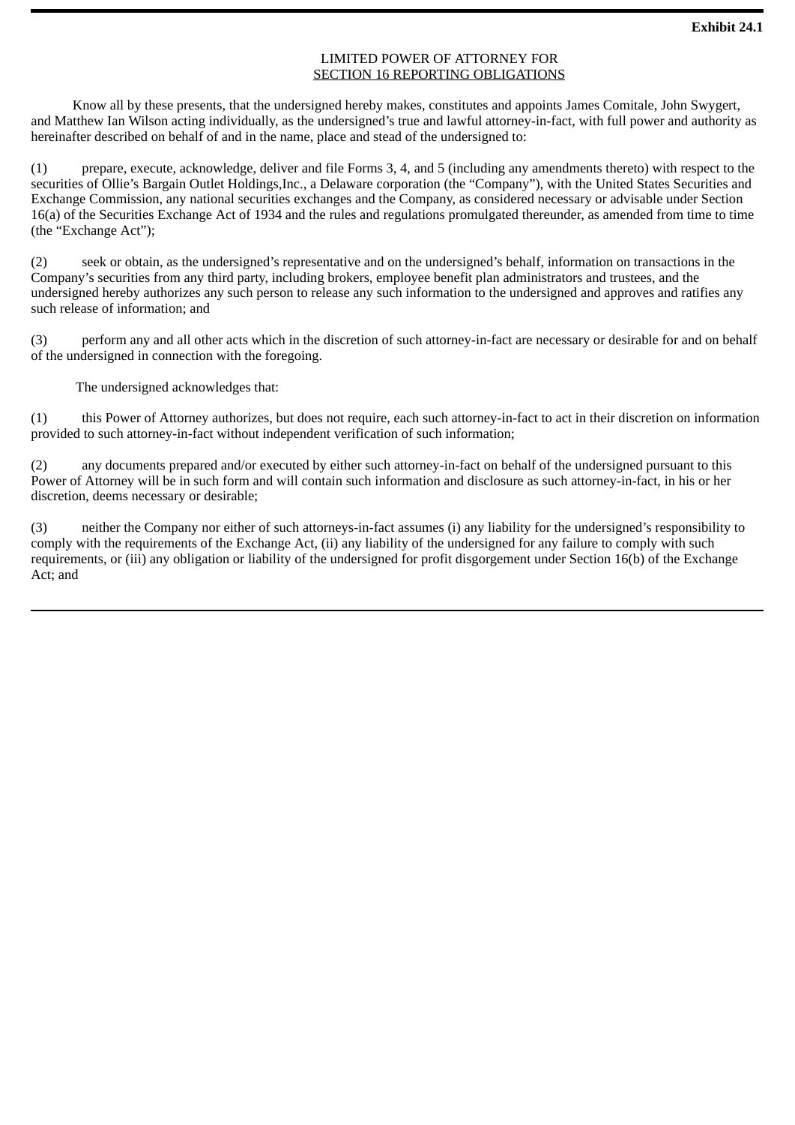## LIMITED POWER OF ATTORNEY FOR SECTION 16 REPORTING OBLIGATIONS

Know all by these presents, that the undersigned hereby makes, constitutes and appoints James Comitale, John Swygert, and Matthew Ian Wilson acting individually, as the undersigned's true and lawful attorney-in-fact, with full power and authority as hereinafter described on behalf of and in the name, place and stead of the undersigned to:

(1) prepare, execute, acknowledge, deliver and file Forms 3, 4, and 5 (including any amendments thereto) with respect to the securities of Ollie's Bargain Outlet Holdings,Inc., a Delaware corporation (the "Company"), with the United States Securities and Exchange Commission, any national securities exchanges and the Company, as considered necessary or advisable under Section 16(a) of the Securities Exchange Act of 1934 and the rules and regulations promulgated thereunder, as amended from time to time (the "Exchange Act");

(2) seek or obtain, as the undersigned's representative and on the undersigned's behalf, information on transactions in the Company's securities from any third party, including brokers, employee benefit plan administrators and trustees, and the undersigned hereby authorizes any such person to release any such information to the undersigned and approves and ratifies any such release of information; and

(3) perform any and all other acts which in the discretion of such attorney-in-fact are necessary or desirable for and on behalf of the undersigned in connection with the foregoing.

The undersigned acknowledges that:

(1) this Power of Attorney authorizes, but does not require, each such attorney-in-fact to act in their discretion on information provided to such attorney-in-fact without independent verification of such information;

(2) any documents prepared and/or executed by either such attorney-in-fact on behalf of the undersigned pursuant to this Power of Attorney will be in such form and will contain such information and disclosure as such attorney-in-fact, in his or her discretion, deems necessary or desirable;

(3) neither the Company nor either of such attorneys-in-fact assumes (i) any liability for the undersigned's responsibility to comply with the requirements of the Exchange Act, (ii) any liability of the undersigned for any failure to comply with such requirements, or (iii) any obligation or liability of the undersigned for profit disgorgement under Section 16(b) of the Exchange Act; and